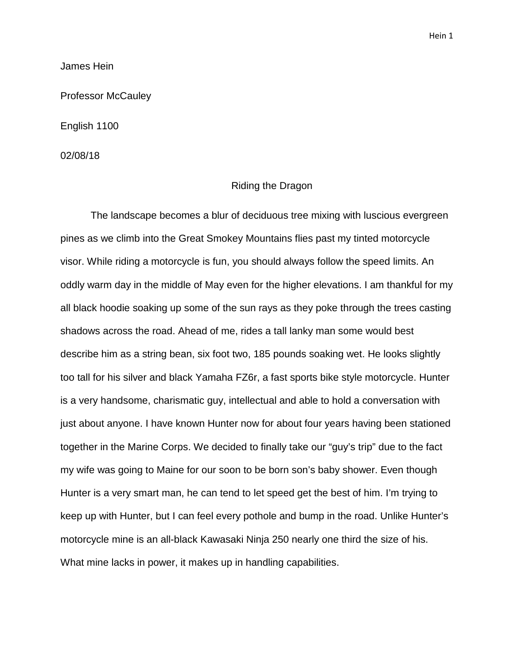Hein 1

James Hein

Professor McCauley

English 1100

02/08/18

## Riding the Dragon

The landscape becomes a blur of deciduous tree mixing with luscious evergreen pines as we climb into the Great Smokey Mountains flies past my tinted motorcycle visor. While riding a motorcycle is fun, you should always follow the speed limits. An oddly warm day in the middle of May even for the higher elevations. I am thankful for my all black hoodie soaking up some of the sun rays as they poke through the trees casting shadows across the road. Ahead of me, rides a tall lanky man some would best describe him as a string bean, six foot two, 185 pounds soaking wet. He looks slightly too tall for his silver and black Yamaha FZ6r, a fast sports bike style motorcycle. Hunter is a very handsome, charismatic guy, intellectual and able to hold a conversation with just about anyone. I have known Hunter now for about four years having been stationed together in the Marine Corps. We decided to finally take our "guy's trip" due to the fact my wife was going to Maine for our soon to be born son's baby shower. Even though Hunter is a very smart man, he can tend to let speed get the best of him. I'm trying to keep up with Hunter, but I can feel every pothole and bump in the road. Unlike Hunter's motorcycle mine is an all-black Kawasaki Ninja 250 nearly one third the size of his. What mine lacks in power, it makes up in handling capabilities.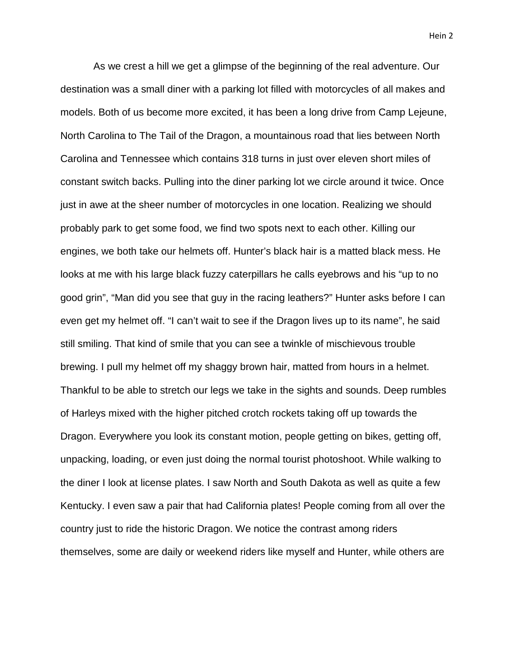Hein 2

As we crest a hill we get a glimpse of the beginning of the real adventure. Our destination was a small diner with a parking lot filled with motorcycles of all makes and models. Both of us become more excited, it has been a long drive from Camp Lejeune, North Carolina to The Tail of the Dragon, a mountainous road that lies between North Carolina and Tennessee which contains 318 turns in just over eleven short miles of constant switch backs. Pulling into the diner parking lot we circle around it twice. Once just in awe at the sheer number of motorcycles in one location. Realizing we should probably park to get some food, we find two spots next to each other. Killing our engines, we both take our helmets off. Hunter's black hair is a matted black mess. He looks at me with his large black fuzzy caterpillars he calls eyebrows and his "up to no good grin", "Man did you see that guy in the racing leathers?" Hunter asks before I can even get my helmet off. "I can't wait to see if the Dragon lives up to its name", he said still smiling. That kind of smile that you can see a twinkle of mischievous trouble brewing. I pull my helmet off my shaggy brown hair, matted from hours in a helmet. Thankful to be able to stretch our legs we take in the sights and sounds. Deep rumbles of Harleys mixed with the higher pitched crotch rockets taking off up towards the Dragon. Everywhere you look its constant motion, people getting on bikes, getting off, unpacking, loading, or even just doing the normal tourist photoshoot. While walking to the diner I look at license plates. I saw North and South Dakota as well as quite a few Kentucky. I even saw a pair that had California plates! People coming from all over the country just to ride the historic Dragon. We notice the contrast among riders themselves, some are daily or weekend riders like myself and Hunter, while others are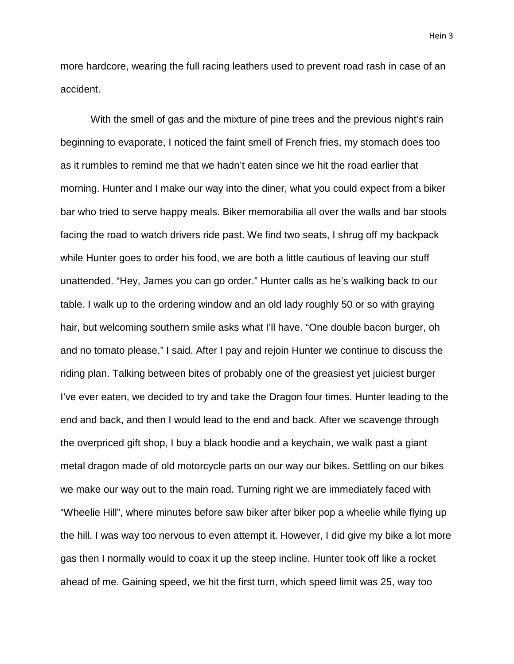more hardcore, wearing the full racing leathers used to prevent road rash in case of an accident.

With the smell of gas and the mixture of pine trees and the previous night's rain beginning to evaporate, I noticed the faint smell of French fries, my stomach does too as it rumbles to remind me that we hadn't eaten since we hit the road earlier that morning. Hunter and I make our way into the diner, what you could expect from a biker bar who tried to serve happy meals. Biker memorabilia all over the walls and bar stools facing the road to watch drivers ride past. We find two seats, I shrug off my backpack while Hunter goes to order his food, we are both a little cautious of leaving our stuff unattended. "Hey, James you can go order." Hunter calls as he's walking back to our table. I walk up to the ordering window and an old lady roughly 50 or so with graying hair, but welcoming southern smile asks what I'll have. "One double bacon burger, oh and no tomato please." I said. After I pay and rejoin Hunter we continue to discuss the riding plan. Talking between bites of probably one of the greasiest yet juiciest burger I've ever eaten, we decided to try and take the Dragon four times. Hunter leading to the end and back, and then I would lead to the end and back. After we scavenge through the overpriced gift shop, I buy a black hoodie and a keychain, we walk past a giant metal dragon made of old motorcycle parts on our way our bikes. Settling on our bikes we make our way out to the main road. Turning right we are immediately faced with "Wheelie Hill", where minutes before saw biker after biker pop a wheelie while flying up the hill. I was way too nervous to even attempt it. However, I did give my bike a lot more gas then I normally would to coax it up the steep incline. Hunter took off like a rocket ahead of me. Gaining speed, we hit the first turn, which speed limit was 25, way too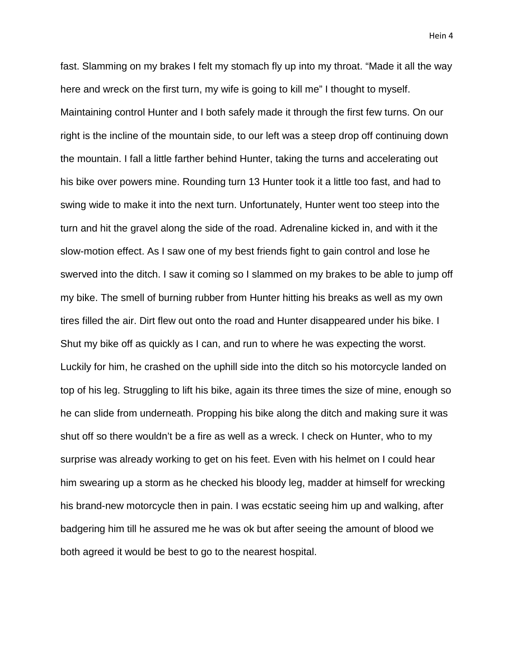fast. Slamming on my brakes I felt my stomach fly up into my throat. "Made it all the way here and wreck on the first turn, my wife is going to kill me" I thought to myself. Maintaining control Hunter and I both safely made it through the first few turns. On our right is the incline of the mountain side, to our left was a steep drop off continuing down the mountain. I fall a little farther behind Hunter, taking the turns and accelerating out his bike over powers mine. Rounding turn 13 Hunter took it a little too fast, and had to swing wide to make it into the next turn. Unfortunately, Hunter went too steep into the turn and hit the gravel along the side of the road. Adrenaline kicked in, and with it the slow-motion effect. As I saw one of my best friends fight to gain control and lose he swerved into the ditch. I saw it coming so I slammed on my brakes to be able to jump off my bike. The smell of burning rubber from Hunter hitting his breaks as well as my own tires filled the air. Dirt flew out onto the road and Hunter disappeared under his bike. I Shut my bike off as quickly as I can, and run to where he was expecting the worst. Luckily for him, he crashed on the uphill side into the ditch so his motorcycle landed on top of his leg. Struggling to lift his bike, again its three times the size of mine, enough so he can slide from underneath. Propping his bike along the ditch and making sure it was shut off so there wouldn't be a fire as well as a wreck. I check on Hunter, who to my surprise was already working to get on his feet. Even with his helmet on I could hear him swearing up a storm as he checked his bloody leg, madder at himself for wrecking his brand-new motorcycle then in pain. I was ecstatic seeing him up and walking, after badgering him till he assured me he was ok but after seeing the amount of blood we both agreed it would be best to go to the nearest hospital.